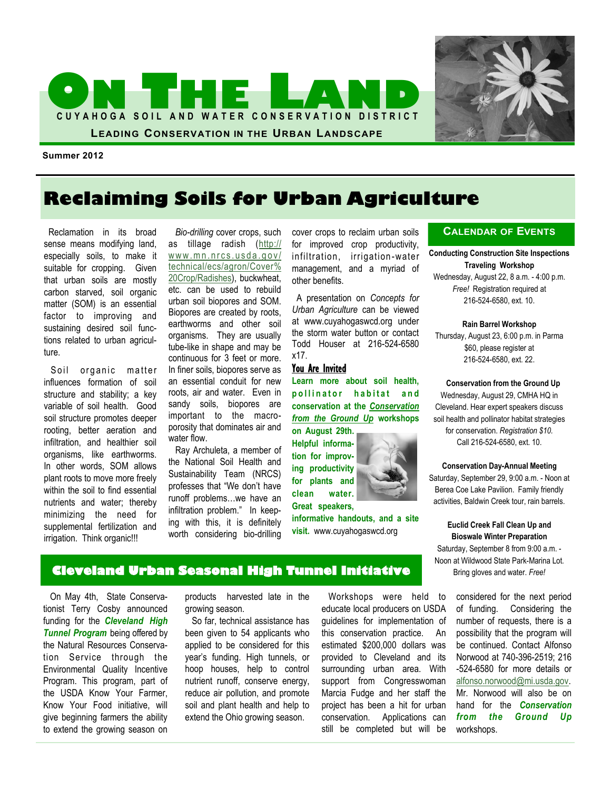



**Summer 2012**

# **Reclaiming Soils for Urban Agriculture**

 Reclamation in its broad sense means modifying land, especially soils, to make it suitable for cropping. Given that urban soils are mostly carbon starved, soil organic matter (SOM) is an essential factor to improving and sustaining desired soil functions related to urban agriculture.

Soil organic matter influences formation of soil structure and stability; a key variable of soil health. Good soil structure promotes deeper rooting, better aeration and infiltration, and healthier soil organisms, like earthworms. In other words, SOM allows plant roots to move more freely within the soil to find essential nutrients and water; thereby minimizing the need for supplemental fertilization and irrigation. Think organic!!!

 *Bio-drilling* cover crops, such as tillage radish ([http://](http://www.mn.nrcs.usda.gov/technical/ecs/agron/Cover%20Crop/Radishes-%20a%20new%20cover%20crop%20option.pdf)  $www.mn.nrcs.usda.gov/$ [technical/ecs/agron/Cover%](http://www.mn.nrcs.usda.gov/technical/ecs/agron/Cover%20Crop/Radishes-%20a%20new%20cover%20crop%20option.pdf) [20Crop/Radishes\),](http://www.mn.nrcs.usda.gov/technical/ecs/agron/Cover%20Crop/Radishes-%20a%20new%20cover%20crop%20option.pdf) buckwheat, etc. can be used to rebuild urban soil biopores and SOM. Biopores are created by roots, earthworms and other soil organisms. They are usually tube-like in shape and may be continuous for 3 feet or more. In finer soils, biopores serve as an essential conduit for new roots, air and water. Even in sandy soils, biopores are important to the macroporosity that dominates air and water flow.

 Ray Archuleta, a member of the National Soil Health and Sustainability Team (NRCS) professes that "We don't have runoff problems…we have an infiltration problem." In keeping with this, it is definitely worth considering bio-drilling cover crops to reclaim urban soils for improved crop productivity, infiltration, irrigation -water management, and a myriad of other benefits.

 A presentation on *Concepts for Urban Agriculture* can be viewed at www.cuyahogaswcd.org under the storm water button or contact Todd Houser at 216-524-6580 x17.

### You Are Invited

**Learn more about soil health, p o l l i n a t o r h a b i t a t a n d conservation at the** *Conservation from the Ground Up* **workshops** 

**on August 29th. Helpful information for improving productivity for plants and clean water. Great speakers,** 

**informative handouts, and a site visit.** www.cuyahogaswcd.org

### **CALENDAR OF EVENTS**

**Conducting Construction Site Inspections Traveling Workshop**

Wednesday, August 22, 8 a.m. - 4:00 p.m. *Free!* Registration required at 216-524-6580, ext. 10.

### **Rain Barrel Workshop**

Thursday, August 23, 6:00 p.m. in Parma \$60, please register at 216-524-6580, ext. 22.

### **Conservation from the Ground Up**

Wednesday, August 29, CMHA HQ in Cleveland. Hear expert speakers discuss soil health and pollinator habitat strategies for conservation. *Registration \$10.*  Call 216-524-6580, ext. 10.

### **Conservation Day-Annual Meeting**

Saturday, September 29, 9:00 a.m. - Noon at Berea Coe Lake Pavilion. Family friendly activities, Baldwin Creek tour, rain barrels.

### **Euclid Creek Fall Clean Up and Bioswale Winter Preparation**

Saturday, September 8 from 9:00 a.m. - Noon at Wildwood State Park-Marina Lot. Bring gloves and water. *Free!*

 On May 4th, State Conservationist Terry Cosby announced funding for the *Cleveland High Tunnel Program* being offered by the Natural Resources Conservation Service through the Environmental Quality Incentive Program. This program, part of the USDA Know Your Farmer, Know Your Food initiative, will give beginning farmers the ability to extend the growing season on

products harvested late in the growing season.

**Cleveland Urban Seasonal High Tunnel Initiative** 

 So far, technical assistance has been given to 54 applicants who applied to be considered for this year's funding. High tunnels, or hoop houses, help to control nutrient runoff, conserve energy, reduce air pollution, and promote soil and plant health and help to extend the Ohio growing season.

 Workshops were held to educate local producers on USDA guidelines for implementation of this conservation practice. An estimated \$200,000 dollars was provided to Cleveland and its surrounding urban area. With support from Congresswoman Marcia Fudge and her staff the project has been a hit for urban conservation. Applications can still be completed but will be

considered for the next period of funding. Considering the number of requests, there is a possibility that the program will be continued. Contact Alfonso Norwood at 740-396-2519; 216 -524-6580 for more details or [alfonso.norwood@mi.usda.gov.](mailto:alfonso.norwood@mi.usda.gov) Mr. Norwood will also be on hand for the *Conservation from the Ground Up*  workshops.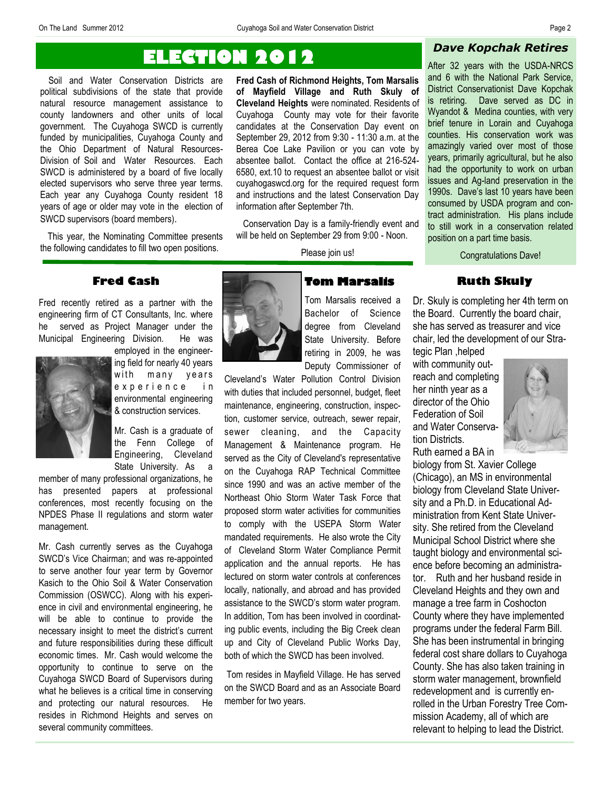# **ELECTION 2012**

 Soil and Water Conservation Districts are political subdivisions of the state that provide natural resource management assistance to county landowners and other units of local government. The Cuyahoga SWCD is currently funded by municipalities, Cuyahoga County and the Ohio Department of Natural Resources-Division of Soil and Water Resources. Each SWCD is administered by a board of five locally elected supervisors who serve three year terms. Each year any Cuyahoga County resident 18 years of age or older may vote in the election of SWCD supervisors (board members).

 This year, the Nominating Committee presents the following candidates to fill two open positions.

**Fred Cash of Richmond Heights, Tom Marsalis of Mayfield Village and Ruth Skuly of Cleveland Heights** were nominated. Residents of Cuyahoga County may vote for their favorite candidates at the Conservation Day event on September 29, 2012 from 9:30 - 11:30 a.m. at the Berea Coe Lake Pavilion or you can vote by absentee ballot. Contact the office at 216-524- 6580, ext.10 to request an absentee ballot or visit cuyahogaswcd.org for the required request form and instructions and the latest Conservation Day information after September 7th.

 Conservation Day is a family-friendly event and will be held on September 29 from 9:00 - Noon.

Please join us!

After 32 years with the USDA-NRCS and 6 with the National Park Service, District Conservationist Dave Kopchak

*Dave Kopchak Retires* 

is retiring. Dave served as DC in Wyandot & Medina counties, with very brief tenure in Lorain and Cuyahoga counties. His conservation work was amazingly varied over most of those years, primarily agricultural, but he also had the opportunity to work on urban issues and Ag-land preservation in the 1990s. Dave's last 10 years have been consumed by USDA program and contract administration. His plans include to still work in a conservation related position on a part time basis.

Congratulations Dave!

### **Ruth Skuly** Dr. Skuly is completing her 4th term on

the Board. Currently the board chair, she has served as treasurer and vice

**Fred Cash**

Fred recently retired as a partner with the engineering firm of CT Consultants, Inc. where he served as Project Manager under the Municipal Engineering Division. He was



employed in the engineering field for nearly 40 years with many years e x p e r i e n c e i n environmental engineering & construction services.

Mr. Cash is a graduate of the Fenn College of Engineering, Cleveland State University. As a

member of many professional organizations, he has presented papers at professional conferences, most recently focusing on the NPDES Phase II regulations and storm water management.

Mr. Cash currently serves as the Cuyahoga SWCD's Vice Chairman; and was re-appointed to serve another four year term by Governor Kasich to the Ohio Soil & Water Conservation Commission (OSWCC). Along with his experience in civil and environmental engineering, he will be able to continue to provide the necessary insight to meet the district's current and future responsibilities during these difficult economic times. Mr. Cash would welcome the opportunity to continue to serve on the Cuyahoga SWCD Board of Supervisors during what he believes is a critical time in conserving and protecting our natural resources. He resides in Richmond Heights and serves on several community committees.



**Tom Marsalis**  Tom Marsalis received a

Bachelor of Science degree from Cleveland State University. Before retiring in 2009, he was Deputy Commissioner of

Cleveland's Water Pollution Control Division with duties that included personnel, budget, fleet maintenance, engineering, construction, inspection, customer service, outreach, sewer repair, sewer cleaning, and the Capacity Management & Maintenance program. He served as the City of Cleveland's representative on the Cuyahoga RAP Technical Committee since 1990 and was an active member of the Northeast Ohio Storm Water Task Force that proposed storm water activities for communities to comply with the USEPA Storm Water mandated requirements. He also wrote the City of Cleveland Storm Water Compliance Permit application and the annual reports. He has lectured on storm water controls at conferences locally, nationally, and abroad and has provided assistance to the SWCD's storm water program. In addition, Tom has been involved in coordinating public events, including the Big Creek clean up and City of Cleveland Public Works Day, both of which the SWCD has been involved.

Tom resides in Mayfield Village. He has served on the SWCD Board and as an Associate Board member for two years.

chair, led the development of our Strategic Plan ,helped with community outreach and completing her ninth year as a director of the Ohio Federation of Soil and Water Conserva-

tion Districts. Ruth earned a BA in



biology from St. Xavier College (Chicago), an MS in environmental biology from Cleveland State University and a Ph.D. in Educational Administration from Kent State University. She retired from the Cleveland Municipal School District where she taught biology and environmental science before becoming an administrator. Ruth and her husband reside in Cleveland Heights and they own and manage a tree farm in Coshocton County where they have implemented programs under the federal Farm Bill. She has been instrumental in bringing federal cost share dollars to Cuyahoga County. She has also taken training in storm water management, brownfield redevelopment and is currently enrolled in the Urban Forestry Tree Commission Academy, all of which are relevant to helping to lead the District.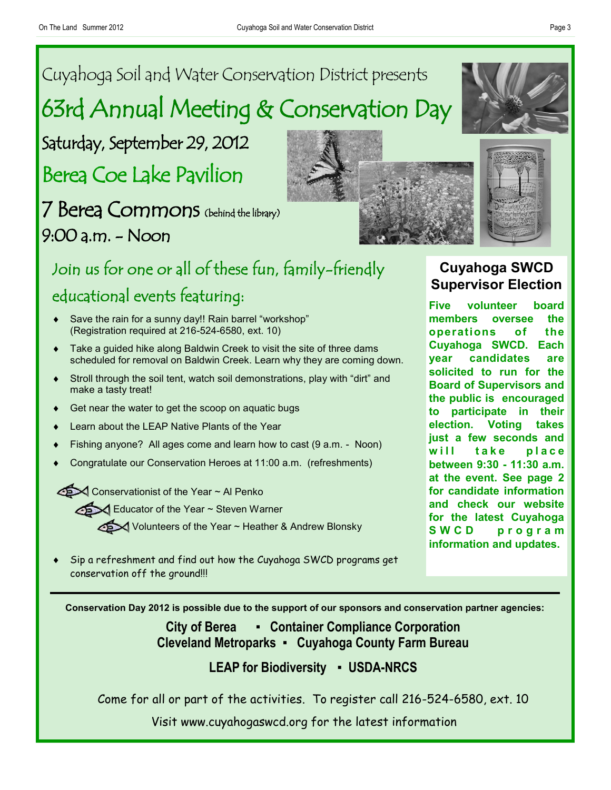# Cuyahoga Soil and Water Conservation District presents 63rd Annual Meeting & Conservation Day

Saturday, September 29, 2012

Berea Coe Lake Pavilion

7 Berea Commons (behind the library) 9:00 a.m. - Noon

# Join us for one or all of these fun, family-friendly educational events featuring:

- Save the rain for a sunny day!! Rain barrel "workshop" (Registration required at 216-524-6580, ext. 10)
- Take a guided hike along Baldwin Creek to visit the site of three dams scheduled for removal on Baldwin Creek. Learn why they are coming down.
- Stroll through the soil tent, watch soil demonstrations, play with "dirt" and make a tasty treat!
- Get near the water to get the scoop on aquatic bugs
- Learn about the LEAP Native Plants of the Year
- Fishing anyone? All ages come and learn how to cast (9 a.m. Noon)
- Congratulate our Conservation Heroes at 11:00 a.m. (refreshments)

Conservationist of the Year ~ Al Penko

Educator of the Year ~ Steven Warner

Volunteers of the Year ~ Heather & Andrew Blonsky

 Sip a refreshment and find out how the Cuyahoga SWCD programs get conservation off the ground!!!

## **City of Berea ▪ Container Compliance Corporation Cleveland Metroparks ▪ Cuyahoga County Farm Bureau**

**Conservation Day 2012 is possible due to the support of our sponsors and conservation partner agencies:**

### **LEAP for Biodiversity ▪ USDA-NRCS**

Come for all or part of the activities. To register call 216-524-6580, ext. 10

Visit www.cuyahogaswcd.org for the latest information





# **Cuyahoga SWCD Supervisor Election**

**Five volunteer board members oversee the operations of the Cuyahoga SWCD. Each year candidates are solicited to run for the Board of Supervisors and the public is encouraged to participate in their election. Voting takes just a few seconds and**  will take place **between 9:30 - 11:30 a.m. at the event. See page 2 for candidate information and check our website for the latest Cuyahoga S W C D p r o g r a m information and updates.**